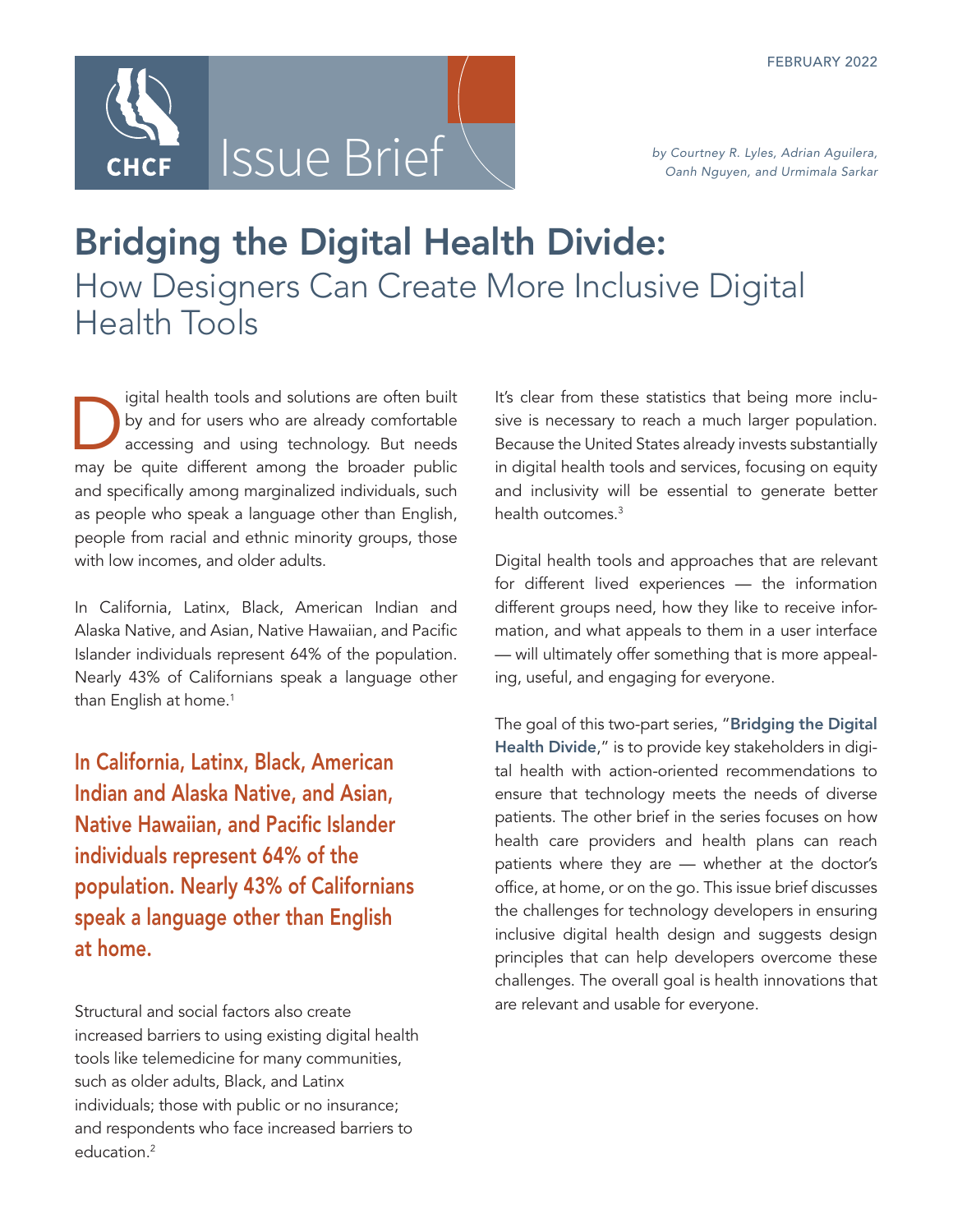

# Bridging the Digital Health Divide: How Designers Can Create More Inclusive Digital Health Tools

I igital health tools and solutions are often built<br>by and for users who are already comfortable<br>accessing and using technology. But needs<br>may be quite different among the broader public by and for users who are already comfortable accessing and using technology. But needs may be quite different among the broader public and specifically among marginalized individuals, such as people who speak a language other than English, people from racial and ethnic minority groups, those with low incomes, and older adults.

In California, Latinx, Black, American Indian and Alaska Native, and Asian, Native Hawaiian, and Pacific Islander individuals represent 64% of the population. Nearly 43% of Californians speak a language other than English at home.<sup>1</sup>

In California, Latinx, Black, American Indian and Alaska Native, and Asian, Native Hawaiian, and Pacific Islander individuals represent 64% of the population. Nearly 43% of Californians speak a language other than English at home.

Structural and social factors also create increased barriers to using existing digital health tools like telemedicine for many communities, such as older adults, Black, and Latinx individuals; those with public or no insurance; and respondents who face increased barriers to education.<sup>2</sup>

It's clear from these statistics that being more inclusive is necessary to reach a much larger population. Because the United States already invests substantially in digital health tools and services, focusing on equity and inclusivity will be essential to generate better health outcomes.<sup>3</sup>

Digital health tools and approaches that are relevant for different lived experiences — the information different groups need, how they like to receive information, and what appeals to them in a user interface — will ultimately offer something that is more appealing, useful, and engaging for everyone.

The goal of this two-part series, "Bridging the Digital [Health Divide](http://www.chcf.org/publication/bridging-digital-health-divide-series)," is to provide key stakeholders in digital health with action-oriented recommendations to ensure that technology meets the needs of diverse patients. The other brief in the series focuses on how health care providers and health plans can reach patients where they are — whether at the doctor's office, at home, or on the go. This issue brief discusses the challenges for technology developers in ensuring inclusive digital health design and suggests design principles that can help developers overcome these challenges. The overall goal is health innovations that are relevant and usable for everyone.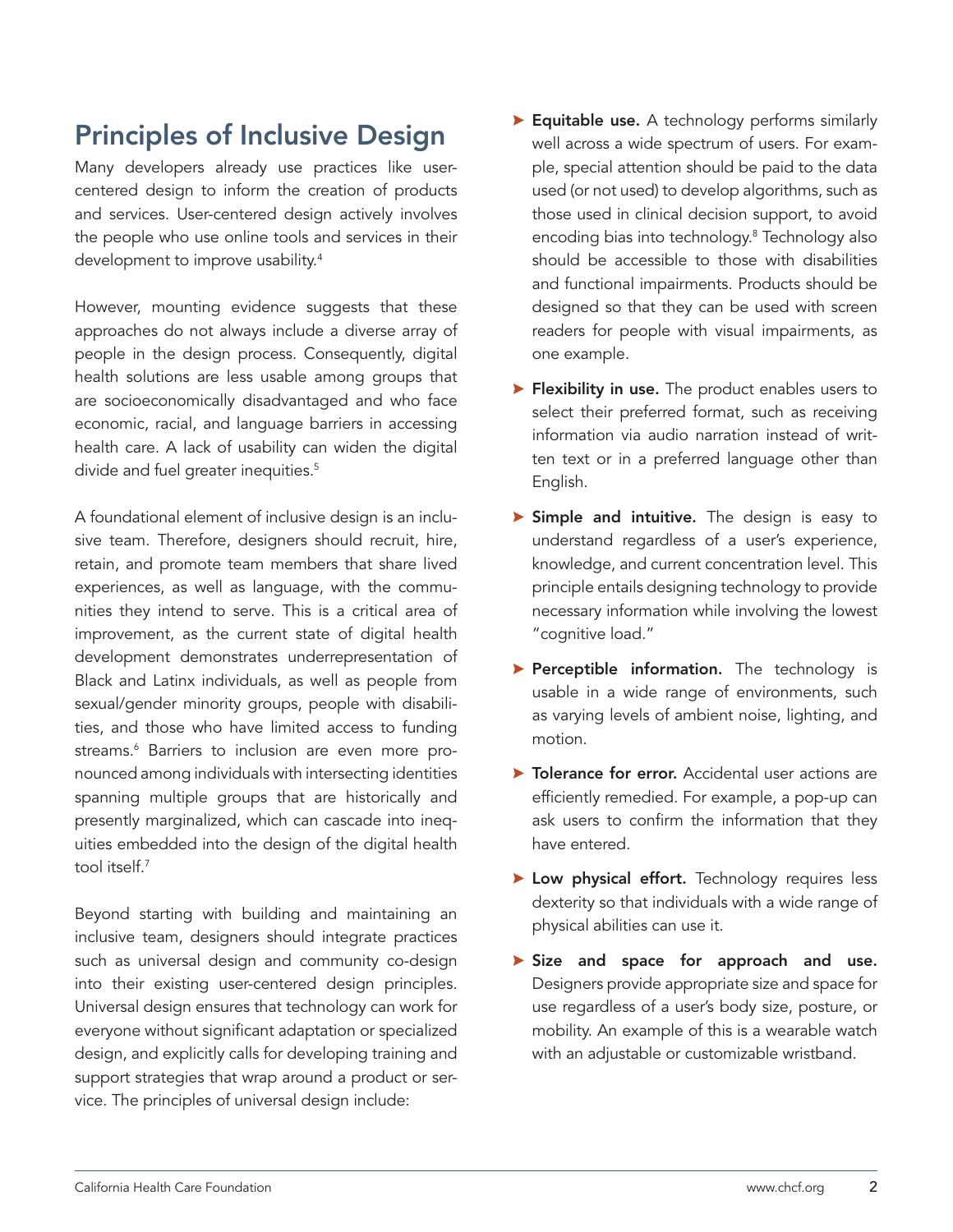# Principles of Inclusive Design

Many developers already use practices like usercentered design to inform the creation of products and services. User-centered design actively involves the people who use online tools and services in their development to improve usability.4

However, mounting evidence suggests that these approaches do not always include a diverse array of people in the design process. Consequently, digital health solutions are less usable among groups that are socioeconomically disadvantaged and who face economic, racial, and language barriers in accessing health care. A lack of usability can widen the digital divide and fuel greater inequities.<sup>5</sup>

A foundational element of inclusive design is an inclusive team. Therefore, designers should recruit, hire, retain, and promote team members that share lived experiences, as well as language, with the communities they intend to serve. This is a critical area of improvement, as the current state of digital health development demonstrates underrepresentation of Black and Latinx individuals, as well as people from sexual/gender minority groups, people with disabilities, and those who have limited access to funding streams.6 Barriers to inclusion are even more pronounced among individuals with intersecting identities spanning multiple groups that are historically and presently marginalized, which can cascade into inequities embedded into the design of the digital health tool itself.<sup>7</sup>

Beyond starting with building and maintaining an inclusive team, designers should integrate practices such as universal design and community co-design into their existing user-centered design principles. Universal design ensures that technology can work for everyone without significant adaptation or specialized design, and explicitly calls for developing training and support strategies that wrap around a product or service. The principles of universal design include:

- $\blacktriangleright$  Equitable use. A technology performs similarly well across a wide spectrum of users. For example, special attention should be paid to the data used (or not used) to develop algorithms, such as those used in clinical decision support, to avoid encoding bias into technology.8 Technology also should be accessible to those with disabilities and functional impairments. Products should be designed so that they can be used with screen readers for people with visual impairments, as one example.
- $\blacktriangleright$  Flexibility in use. The product enables users to select their preferred format, such as receiving information via audio narration instead of written text or in a preferred language other than English.
- $\triangleright$  Simple and intuitive. The design is easy to understand regardless of a user's experience, knowledge, and current concentration level. This principle entails designing technology to provide necessary information while involving the lowest "cognitive load."
- $\blacktriangleright$  Perceptible information. The technology is usable in a wide range of environments, such as varying levels of ambient noise, lighting, and motion.
- $\triangleright$  Tolerance for error. Accidental user actions are efficiently remedied. For example, a pop-up can ask users to confirm the information that they have entered.
- > Low physical effort. Technology requires less dexterity so that individuals with a wide range of physical abilities can use it.
- $\triangleright$  Size and space for approach and use. Designers provide appropriate size and space for use regardless of a user's body size, posture, or mobility. An example of this is a wearable watch with an adjustable or customizable wristband.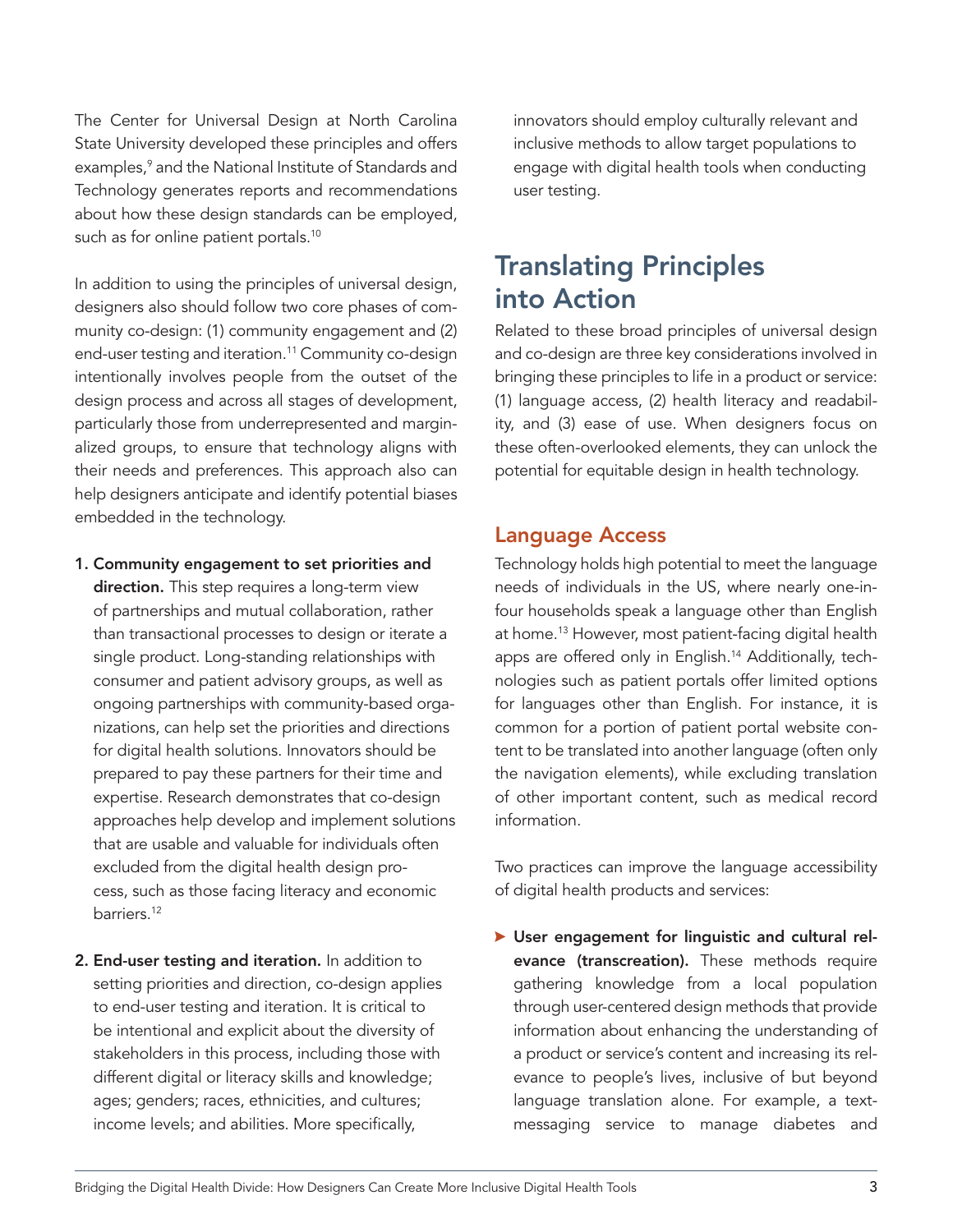The Center for Universal Design at North Carolina State University developed these principles and offers examples,<sup>9</sup> and the National Institute of Standards and Technology generates reports and recommendations about how these design standards can be employed, such as for online patient portals.<sup>10</sup>

In addition to using the principles of universal design, designers also should follow two core phases of community co-design: (1) community engagement and (2) end-user testing and iteration.<sup>11</sup> Community co-design intentionally involves people from the outset of the design process and across all stages of development, particularly those from underrepresented and marginalized groups, to ensure that technology aligns with their needs and preferences. This approach also can help designers anticipate and identify potential biases embedded in the technology.

- 1. Community engagement to set priorities and direction. This step requires a long-term view of partnerships and mutual collaboration, rather than transactional processes to design or iterate a single product. Long-standing relationships with consumer and patient advisory groups, as well as ongoing partnerships with community-based organizations, can help set the priorities and directions for digital health solutions. Innovators should be prepared to pay these partners for their time and expertise. Research demonstrates that co-design approaches help develop and implement solutions that are usable and valuable for individuals often excluded from the digital health design process, such as those facing literacy and economic barriers.12
- 2. End-user testing and iteration. In addition to setting priorities and direction, co-design applies to end-user testing and iteration. It is critical to be intentional and explicit about the diversity of stakeholders in this process, including those with different digital or literacy skills and knowledge; ages; genders; races, ethnicities, and cultures; income levels; and abilities. More specifically,

innovators should employ culturally relevant and inclusive methods to allow target populations to engage with digital health tools when conducting user testing.

# Translating Principles into Action

Related to these broad principles of universal design and co-design are three key considerations involved in bringing these principles to life in a product or service: (1) language access, (2) health literacy and readability, and (3) ease of use. When designers focus on these often-overlooked elements, they can unlock the potential for equitable design in health technology.

### Language Access

Technology holds high potential to meet the language needs of individuals in the US, where nearly one-infour households speak a language other than English at home.13 However, most patient-facing digital health apps are offered only in English.<sup>14</sup> Additionally, technologies such as patient portals offer limited options for languages other than English. For instance, it is common for a portion of patient portal website content to be translated into another language (often only the navigation elements), while excluding translation of other important content, such as medical record information.

Two practices can improve the language accessibility of digital health products and services:

<sup>A</sup> User engagement for linguistic and cultural relevance (transcreation). These methods require gathering knowledge from a local population through user-centered design methods that provide information about enhancing the understanding of a product or service's content and increasing its relevance to people's lives, inclusive of but beyond language translation alone. For example, a textmessaging service to manage diabetes and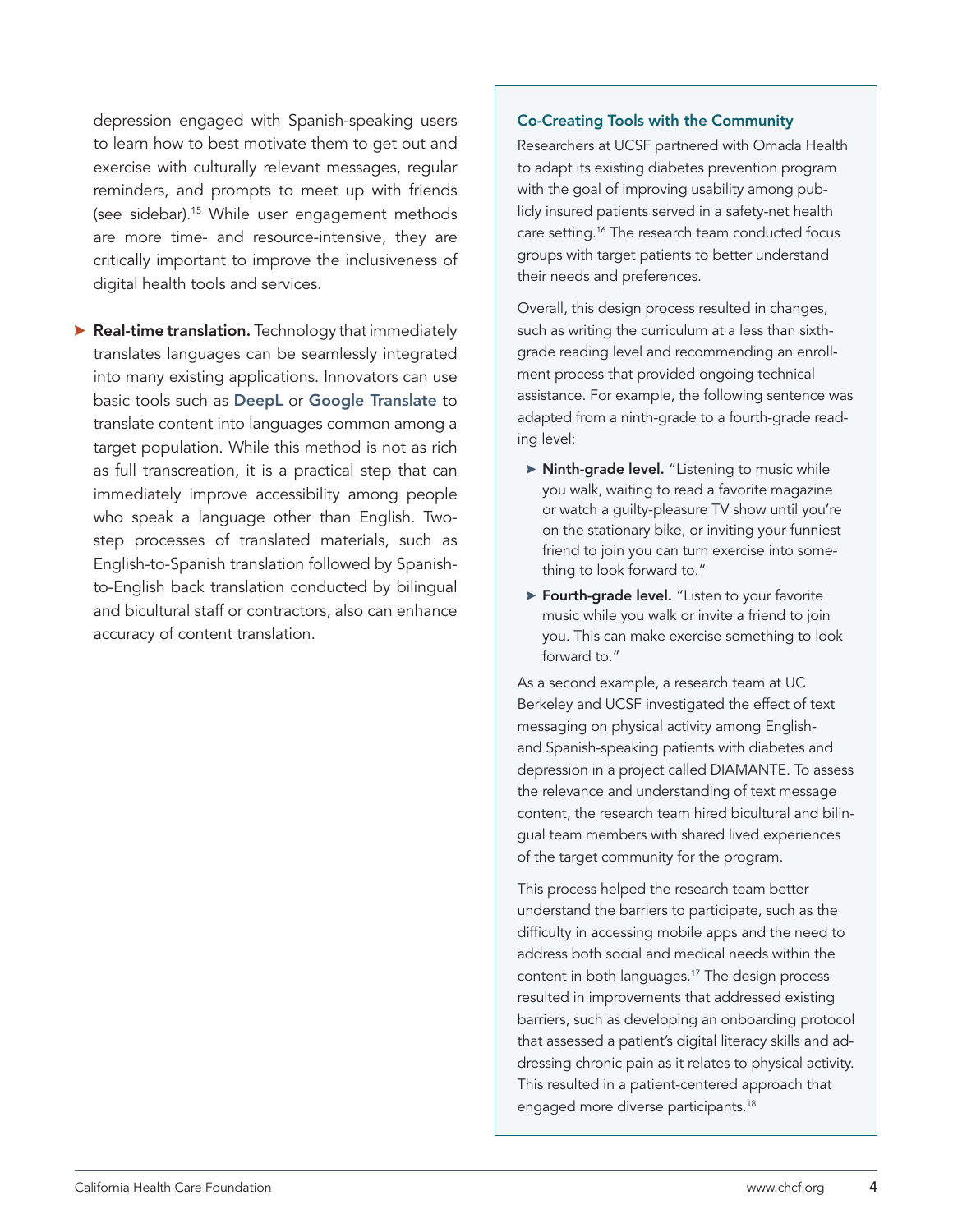depression engaged with Spanish-speaking users to learn how to best motivate them to get out and exercise with culturally relevant messages, regular reminders, and prompts to meet up with friends (see sidebar).15 While user engagement methods are more time- and resource-intensive, they are critically important to improve the inclusiveness of digital health tools and services.

 $\blacktriangleright$  Real-time translation. Technology that immediately translates languages can be seamlessly integrated into many existing applications. Innovators can use basic tools such as [DeepL](https://www.deepl.com/en/translator) or [Google Translate](https://translate.google.com/) to translate content into languages common among a target population. While this method is not as rich as full transcreation, it is a practical step that can immediately improve accessibility among people who speak a language other than English. Twostep processes of translated materials, such as English-to-Spanish translation followed by Spanishto-English back translation conducted by bilingual and bicultural staff or contractors, also can enhance accuracy of content translation.

#### Co-Creating Tools with the Community

Researchers at UCSF partnered with Omada Health to adapt its existing diabetes prevention program with the goal of improving usability among publicly insured patients served in a safety-net health care setting.16 The research team conducted focus groups with target patients to better understand their needs and preferences.

Overall, this design process resulted in changes, such as writing the curriculum at a less than sixthgrade reading level and recommending an enrollment process that provided ongoing technical assistance. For example, the following sentence was adapted from a ninth-grade to a fourth-grade reading level:

- > Ninth-grade level. "Listening to music while you walk, waiting to read a favorite magazine or watch a guilty-pleasure TV show until you're on the stationary bike, or inviting your funniest friend to join you can turn exercise into something to look forward to."
- $\triangleright$  Fourth-grade level. "Listen to your favorite music while you walk or invite a friend to join you. This can make exercise something to look forward to."

As a second example, a research team at UC Berkeley and UCSF investigated the effect of text messaging on physical activity among Englishand Spanish-speaking patients with diabetes and depression in a project called DIAMANTE. To assess the relevance and understanding of text message content, the research team hired bicultural and bilingual team members with shared lived experiences of the target community for the program.

This process helped the research team better understand the barriers to participate, such as the difficulty in accessing mobile apps and the need to address both social and medical needs within the content in both languages.17 The design process resulted in improvements that addressed existing barriers, such as developing an onboarding protocol that assessed a patient's digital literacy skills and addressing chronic pain as it relates to physical activity. This resulted in a patient-centered approach that engaged more diverse participants.<sup>18</sup>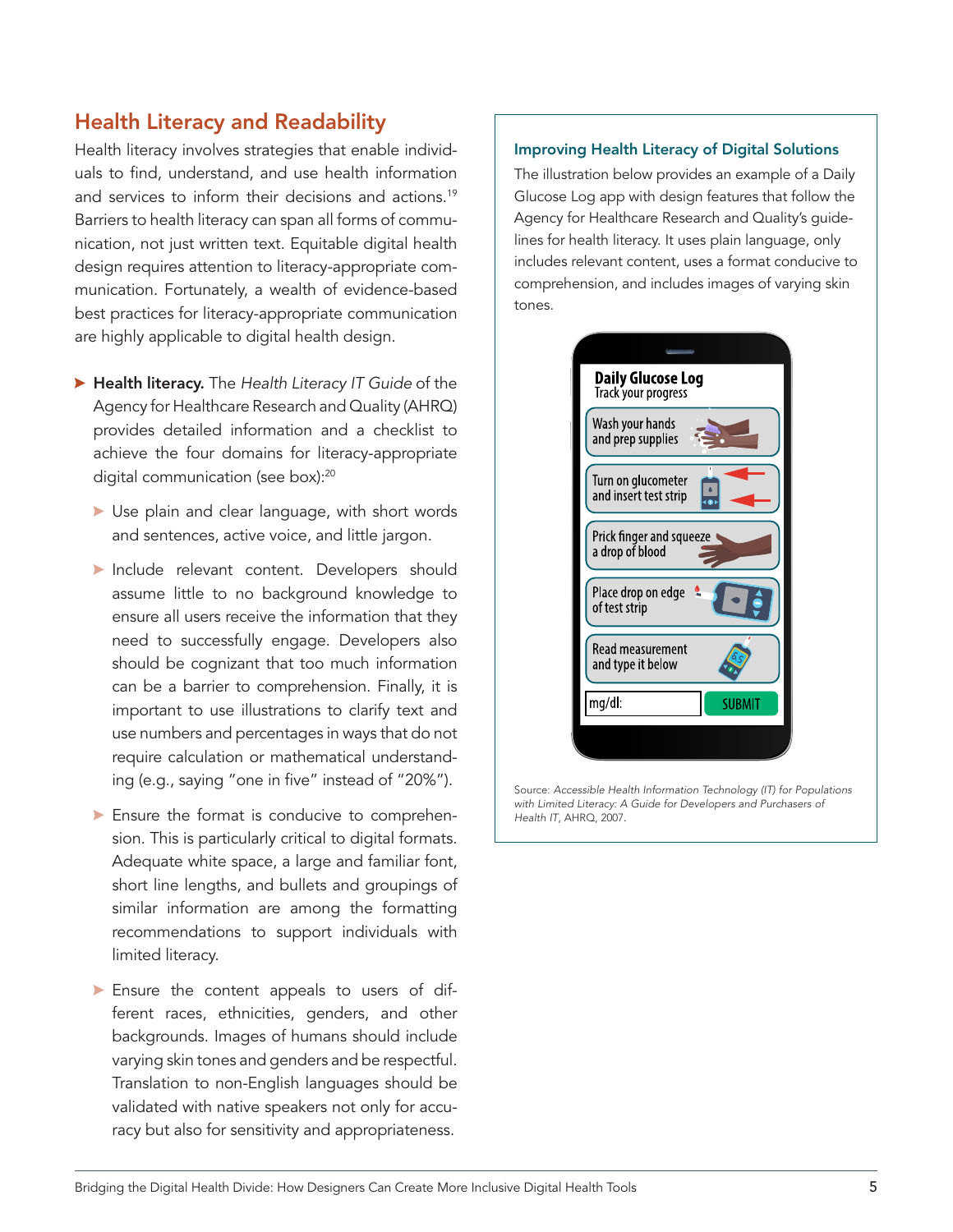### Health Literacy and Readability

Health literacy involves strategies that enable individuals to find, understand, and use health information and services to inform their decisions and actions.<sup>19</sup> Barriers to health literacy can span all forms of communication, not just written text. Equitable digital health design requires attention to literacy-appropriate communication. Fortunately, a wealth of evidence-based best practices for literacy-appropriate communication are highly applicable to digital health design.

- <sup>A</sup> Health literacy. The *Health Literacy IT Guide* of the Agency for Healthcare Research and Quality (AHRQ) provides detailed information and a checklist to achieve the four domains for literacy-appropriate digital communication (see box):<sup>20</sup>
	- $\blacktriangleright$  Use plain and clear language, with short words and sentences, active voice, and little jargon.
	- Include relevant content. Developers should assume little to no background knowledge to ensure all users receive the information that they need to successfully engage. Developers also should be cognizant that too much information can be a barrier to comprehension. Finally, it is important to use illustrations to clarify text and use numbers and percentages in ways that do not require calculation or mathematical understanding (e.g., saying "one in five" instead of "20%").
	- $\blacktriangleright$  Ensure the format is conducive to comprehension. This is particularly critical to digital formats. Adequate white space, a large and familiar font, short line lengths, and bullets and groupings of similar information are among the formatting recommendations to support individuals with limited literacy.
	- $\blacktriangleright$  Ensure the content appeals to users of different races, ethnicities, genders, and other backgrounds. Images of humans should include varying skin tones and genders and be respectful. Translation to non-English languages should be validated with native speakers not only for accuracy but also for sensitivity and appropriateness.

### Improving Health Literacy of Digital Solutions

The illustration below provides an example of a Daily Glucose Log app with design features that follow the Agency for Healthcare Research and Quality's guidelines for health literacy. It uses plain language, only includes relevant content, uses a format conducive to comprehension, and includes images of varying skin tones.



Source: *Accessible Health Information Technology (IT) for Populations with Limited Literacy: A Guide for Developers and Purchasers of Health IT*, AHRQ, 2007.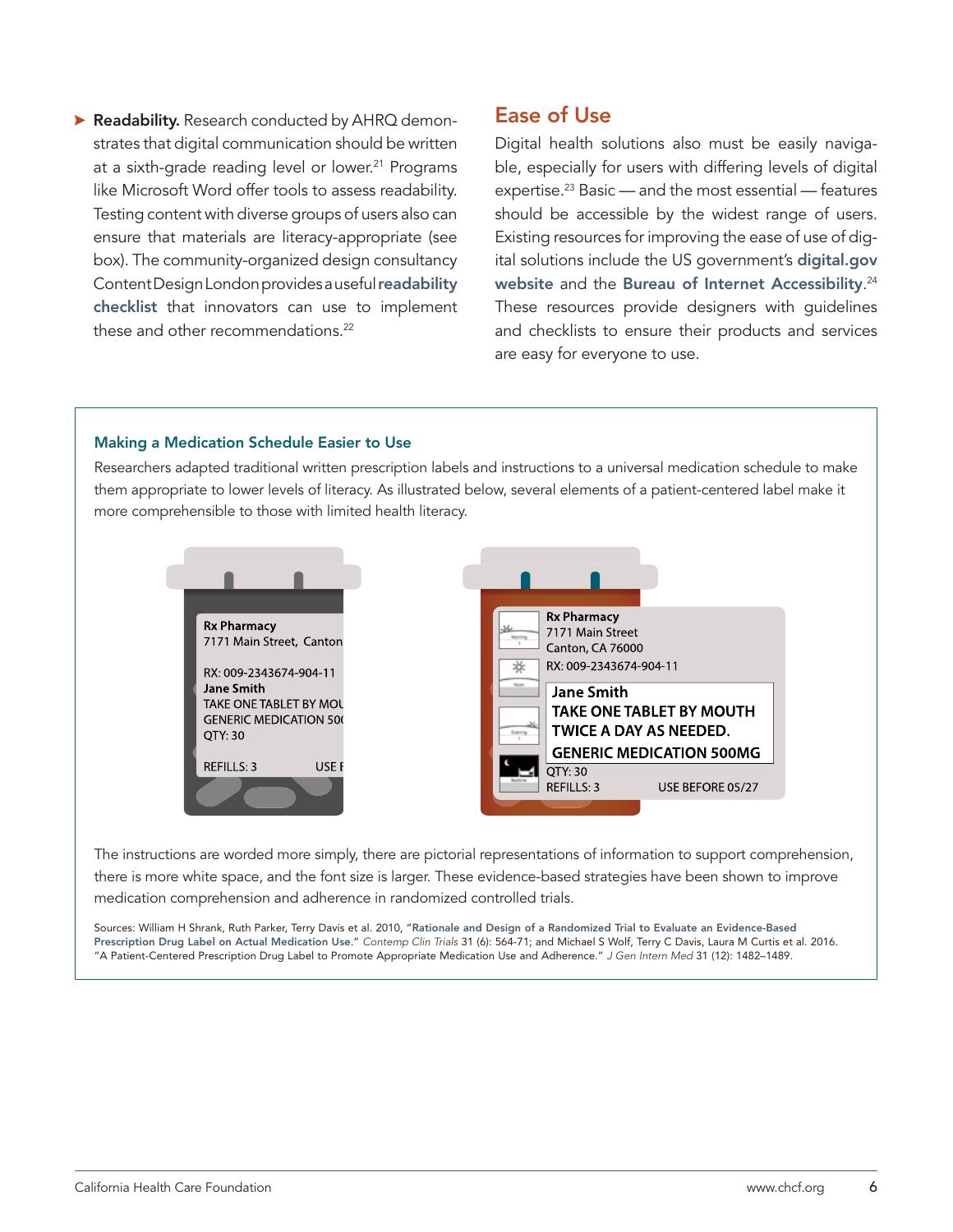**A Readability.** Research conducted by AHRQ demonstrates that digital communication should be written at a sixth-grade reading level or lower.<sup>21</sup> Programs like Microsoft Word offer tools to assess readability. Testing content with diverse groups of users also can ensure that materials are literacy-appropriate (see box). The community-organized design consultancy Content Design London provides a useful [readability](https://readabilityguidelines.co.uk/readability-checklist/)  [checklist](https://readabilityguidelines.co.uk/readability-checklist/) that innovators can use to implement these and other recommendations.<sup>22</sup>

### Ease of Use

Digital health solutions also must be easily navigable, especially for users with differing levels of digital expertise.23 Basic — and the most essential — features should be accessible by the widest range of users. Existing resources for improving the ease of use of digital solutions include the US government's d[igital.gov](https://digital.gov/)  [website](https://digital.gov/) and the [Bureau of Internet Accessibility](https://www.boia.org/digital-accessibility-resources).<sup>24</sup> These resources provide designers with guidelines and checklists to ensure their products and services are easy for everyone to use.

#### Making a Medication Schedule Easier to Use

Researchers adapted traditional written prescription labels and instructions to a universal medication schedule to make them appropriate to lower levels of literacy. As illustrated below, several elements of a patient-centered label make it more comprehensible to those with limited health literacy.



The instructions are worded more simply, there are pictorial representations of information to support comprehension, there is more white space, and the font size is larger. These evidence-based strategies have been shown to improve medication comprehension and adherence in randomized controlled trials.

Sources: William H Shrank, Ruth Parker, Terry Davis et al. 2010, "[Rationale and Design of a Randomized Trial to Evaluate an Evidence-Based](https://pubmed.ncbi.nlm.nih.gov/20647058/)  [Prescription Drug Label on Actual Medication Use](https://pubmed.ncbi.nlm.nih.gov/20647058/)." *Contemp Clin Trials* 31 (6): 564-71; and Michael S Wolf, Terry C Davis, Laura M Curtis et al. 2016. "A Patient-Centered Prescription Drug Label to Promote Appropriate Medication Use and Adherence." *J Gen Intern Med* 31 (12): 1482–1489.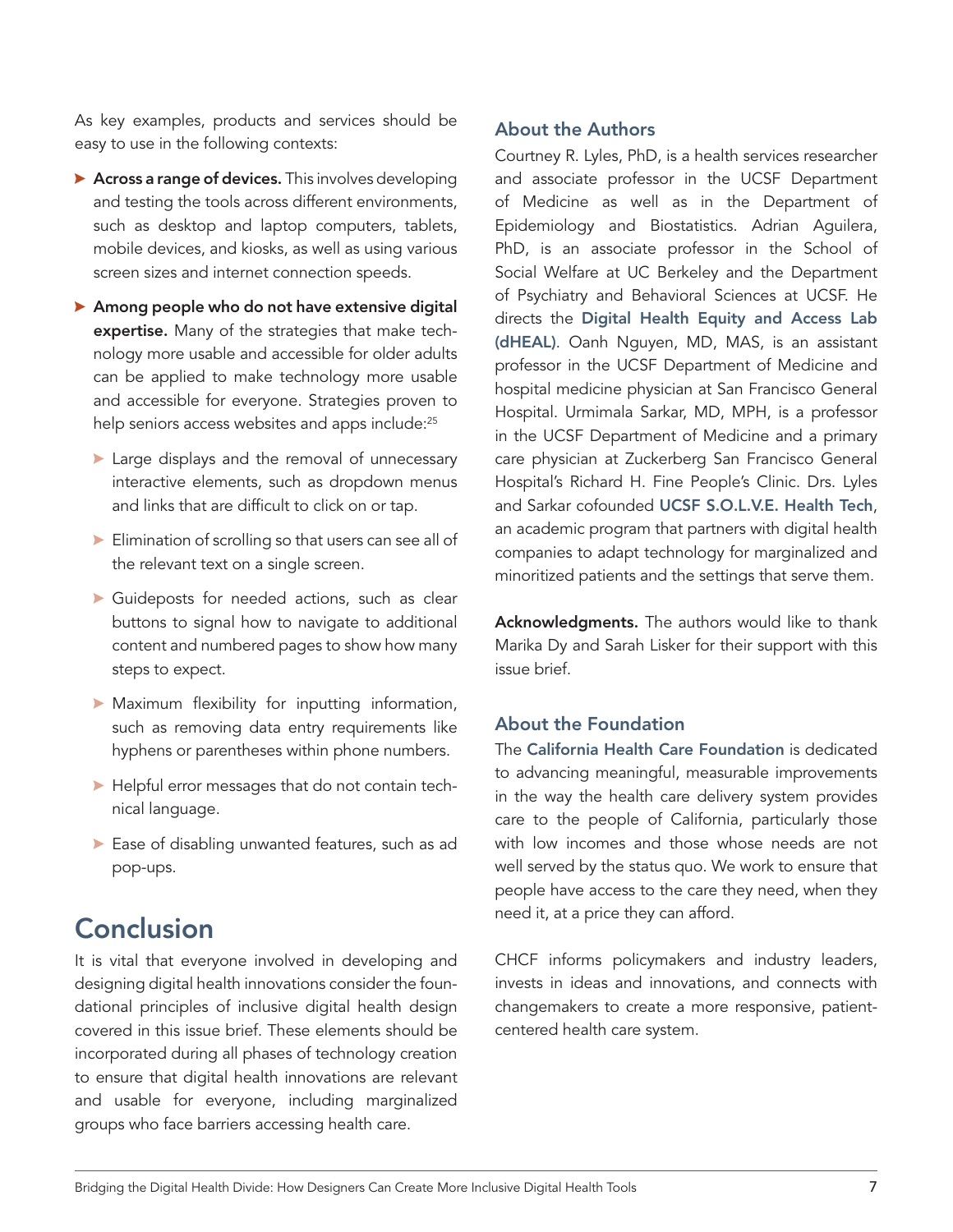As key examples, products and services should be easy to use in the following contexts:

- $\blacktriangleright$  Across a range of devices. This involves developing and testing the tools across different environments, such as desktop and laptop computers, tablets, mobile devices, and kiosks, as well as using various screen sizes and internet connection speeds.
- $\blacktriangleright$  Among people who do not have extensive digital expertise. Many of the strategies that make technology more usable and accessible for older adults can be applied to make technology more usable and accessible for everyone. Strategies proven to help seniors access websites and apps include:<sup>25</sup>
	- $\blacktriangleright$  Large displays and the removal of unnecessary interactive elements, such as dropdown menus and links that are difficult to click on or tap.
	- $\blacktriangleright$  Elimination of scrolling so that users can see all of the relevant text on a single screen.
	- $\blacktriangleright$  Guideposts for needed actions, such as clear buttons to signal how to navigate to additional content and numbered pages to show how many steps to expect.
	- $\blacktriangleright$  Maximum flexibility for inputting information, such as removing data entry requirements like hyphens or parentheses within phone numbers.
	- $\blacktriangleright$  Helpful error messages that do not contain technical language.
	- $\blacktriangleright$  Ease of disabling unwanted features, such as ad pop-ups.

## Conclusion

It is vital that everyone involved in developing and designing digital health innovations consider the foundational principles of inclusive digital health design covered in this issue brief. These elements should be incorporated during all phases of technology creation to ensure that digital health innovations are relevant and usable for everyone, including marginalized groups who face barriers accessing health care.

### About the Authors

Courtney R. Lyles, PhD, is a health services researcher and associate professor in the UCSF Department of Medicine as well as in the Department of Epidemiology and Biostatistics. Adrian Aguilera, PhD, is an associate professor in the School of Social Welfare at UC Berkeley and the Department of Psychiatry and Behavioral Sciences at UCSF. He directs the Digital Health Equity and Access Lab (dHEAL). Oanh Nguyen, MD, MAS, is an assistant professor in the UCSF Department of Medicine and hospital medicine physician at San Francisco General Hospital. Urmimala Sarkar, MD, MPH, is a professor in the UCSF Department of Medicine and a primary care physician at Zuckerberg San Francisco General Hospital's Richard H. Fine People's Clinic. Drs. Lyles and Sarkar cofounded UCSF S.O.L.V.E. Health Tech, an academic program that partners with digital health companies to adapt technology for marginalized and minoritized patients and the settings that serve them.

Acknowledgments. The authors would like to thank Marika Dy and Sarah Lisker for their support with this issue brief.

### About the Foundation

The California Health Care Foundation is dedicated to advancing meaningful, measurable improvements in the way the health care delivery system provides care to the people of California, particularly those with low incomes and those whose needs are not well served by the status quo. We work to ensure that people have access to the care they need, when they need it, at a price they can afford.

CHCF informs policymakers and industry leaders, invests in ideas and innovations, and connects with changemakers to create a more responsive, patientcentered health care system.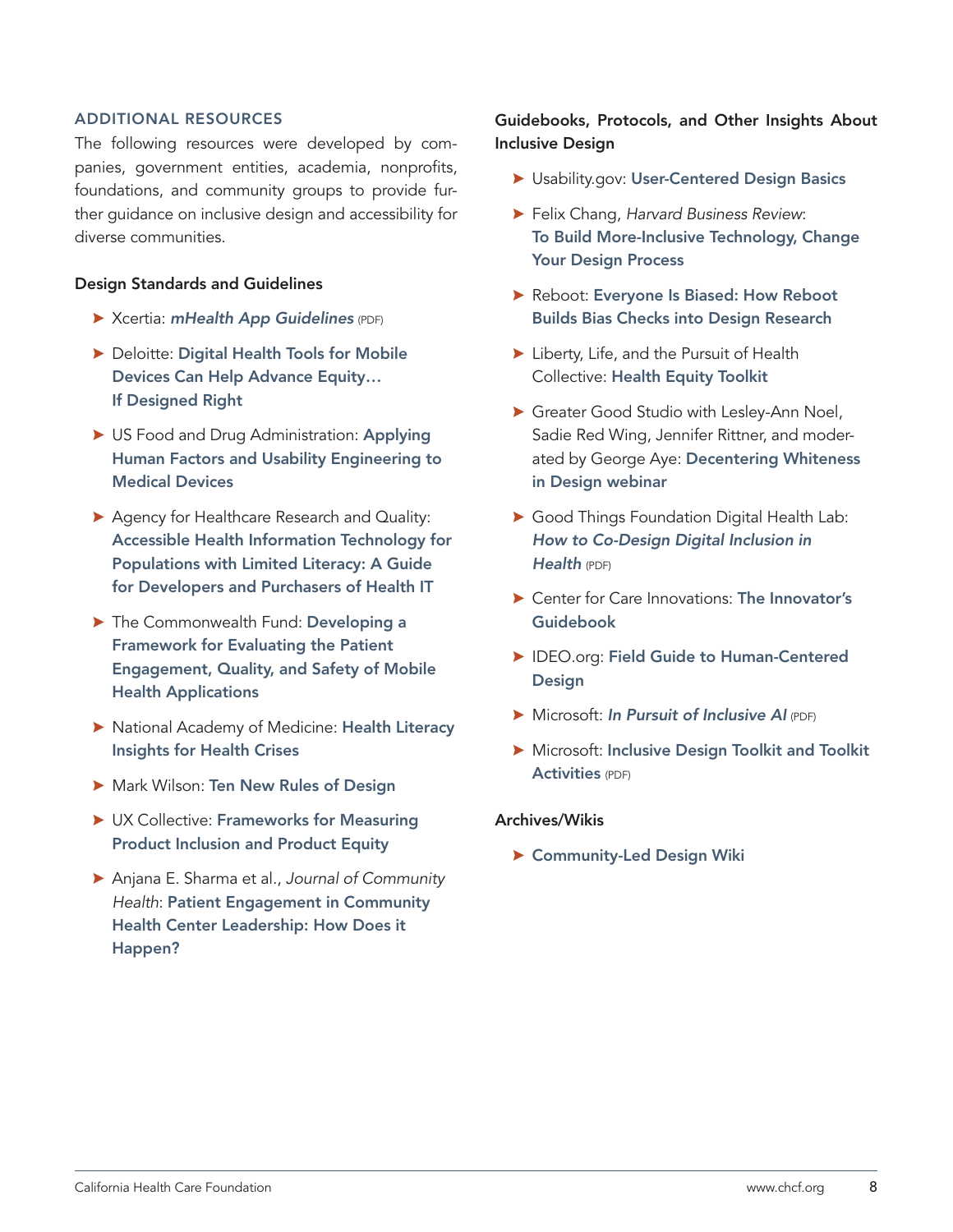### ADDITIONAL RESOURCES

The following resources were developed by companies, government entities, academia, nonprofits, foundations, and community groups to provide further guidance on inclusive design and accessibility for diverse communities.

### Design Standards and Guidelines

- $\blacktriangleright$  Xcertia: *[mHealth App Guidelines](https://www.himss.org/sites/hde/files/media/file/2020/04/17/xcertia-guidelines-2019-final.pdf)* (PDF)
- **> Deloitte: Digital Health Tools for Mobile** [Devices Can Help Advance Equity…](https://www2.deloitte.com/us/en/blog/health-care-blog/2021/digital-health-tools-for-mobile-devices-can-help-to-advance-equi.html) [If Designed Right](https://www2.deloitte.com/us/en/blog/health-care-blog/2021/digital-health-tools-for-mobile-devices-can-help-to-advance-equi.html)
- US Food and Drug Administration: Applying [Human Factors and Usability Engineering to](https://www.fda.gov/regulatory-information/search-fda-guidance-documents/applying-human-factors-and-usability-engineering-medical-devices)  [Medical Devices](https://www.fda.gov/regulatory-information/search-fda-guidance-documents/applying-human-factors-and-usability-engineering-medical-devices)
- ▶ Agency for Healthcare Research and Quality: [Accessible Health Information Technology for](https://digital.ahrq.gov/sites/default/files/docs/page/literacy_guide.html)  [Populations with Limited Literacy: A Guide](https://digital.ahrq.gov/sites/default/files/docs/page/literacy_guide.html)  [for Developers and Purchasers of Health IT](https://digital.ahrq.gov/sites/default/files/docs/page/literacy_guide.html)
- The Commonwealth Fund: Developing a [Framework for Evaluating the Patient](https://www.commonwealthfund.org/publications/issue-briefs/2016/feb/developing-framework-evaluating-patient-engagement-quality-and)  [Engagement, Quality, and Safety of Mobile](https://www.commonwealthfund.org/publications/issue-briefs/2016/feb/developing-framework-evaluating-patient-engagement-quality-and)  [Health Applications](https://www.commonwealthfund.org/publications/issue-briefs/2016/feb/developing-framework-evaluating-patient-engagement-quality-and)
- $\blacktriangleright$  National Academy of Medicine: Health Literacy [Insights for Health Crises](https://nam.edu/health-literacy-insights-for-health-crises/)
- **> Mark Wilson: [Ten New Rules of Design](https://www.fastcompany.com/90563364/10-new-rules-of-design?partner=rss&utm_source=twitter.com&utm_medium=social&utm_campaign=rss+fastcompany&utm_content=rss)**
- ▶ UX Collective: Frameworks for Measuring [Product Inclusion and Product Equity](https://uxdesign.cc/frameworks-for-measuring-product-inclusion-and-product-equity-88d52d6fa39f)
- \$ Anjana E. Sharma et al., *Journal of Community Health*: [Patient Engagement in Community](https://pubmed.ncbi.nlm.nih.gov/29777334/)  [Health Center Leadership: How Does it](https://pubmed.ncbi.nlm.nih.gov/29777334/)  [Happen?](https://pubmed.ncbi.nlm.nih.gov/29777334/)

### Guidebooks, Protocols, and Other Insights About Inclusive Design

- **> Usability.gov: [User-Centered Design Basics](https://www.usability.gov/what-and-why/user-centered-design.html)**
- \$ Felix Chang, *Harvard Business Review*: [To Build More-Inclusive Technology, Change](https://hbr.org/2020/10/to-build-more-inclusive-technology-change-your-design-process)  [Your Design Process](https://hbr.org/2020/10/to-build-more-inclusive-technology-change-your-design-process)
- ▶ Reboot: Everyone Is Biased: How Reboot [Builds Bias Checks into Design Research](https://www.reboot.org/2017/05/10/everyone-biased-reboot-builds-bias-checks-design-research/)
- $\blacktriangleright$  Liberty, Life, and the Pursuit of Health Collective: [Health Equity Toolkit](https://toolkit.lifelibertyhealth.us/)
- Greater Good Studio with Lesley-Ann Noel, Sadie Red Wing, Jennifer Rittner, and moderated by George Aye: [Decentering Whiteness](https://vimeo.com/showcase/7637393/video/466418965)  [in Design webinar](https://vimeo.com/showcase/7637393/video/466418965)
- ▶ Good Things Foundation Digital Health Lab: *[How to Co-Design Digital Inclusion in](https://drive.google.com/file/d/1ExQgLEiWk_E-y92cUZ82hlrR1Qv7mgf2/view)  [Health](https://drive.google.com/file/d/1ExQgLEiWk_E-y92cUZ82hlrR1Qv7mgf2/view)* (PDF)
- ▶ Center for Care Innovations: The Innovator's [Guidebook](https://www.careinnovations.org/resources/innovators-guidebook/)
- **> IDEO.org: Field Guide to Human-Centered [Design](https://www.designkit.org/resources/1)**
- $\triangleright$  Microsoft: *[In Pursuit of Inclusive AI](https://www.microsoft.com/design/assets/inclusive/InclusiveDesign_InclusiveAI.pdf)* (PDF)
- **> Microsoft: Inclusive Design Toolkit and Toolkit** [Activities](https://download.microsoft.com/download/b/0/d/b0d4bf87-09ce-4417-8f28-d60703d672ed/inclusive_toolkit_manual_final.pdf) (PDF)

### Archives/Wikis

**> [Community-Led Design Wiki](https://www.notion.so/Community-led-design-wiki-e0b8daf851fc4ce68bdb19e6a9c27aef)**